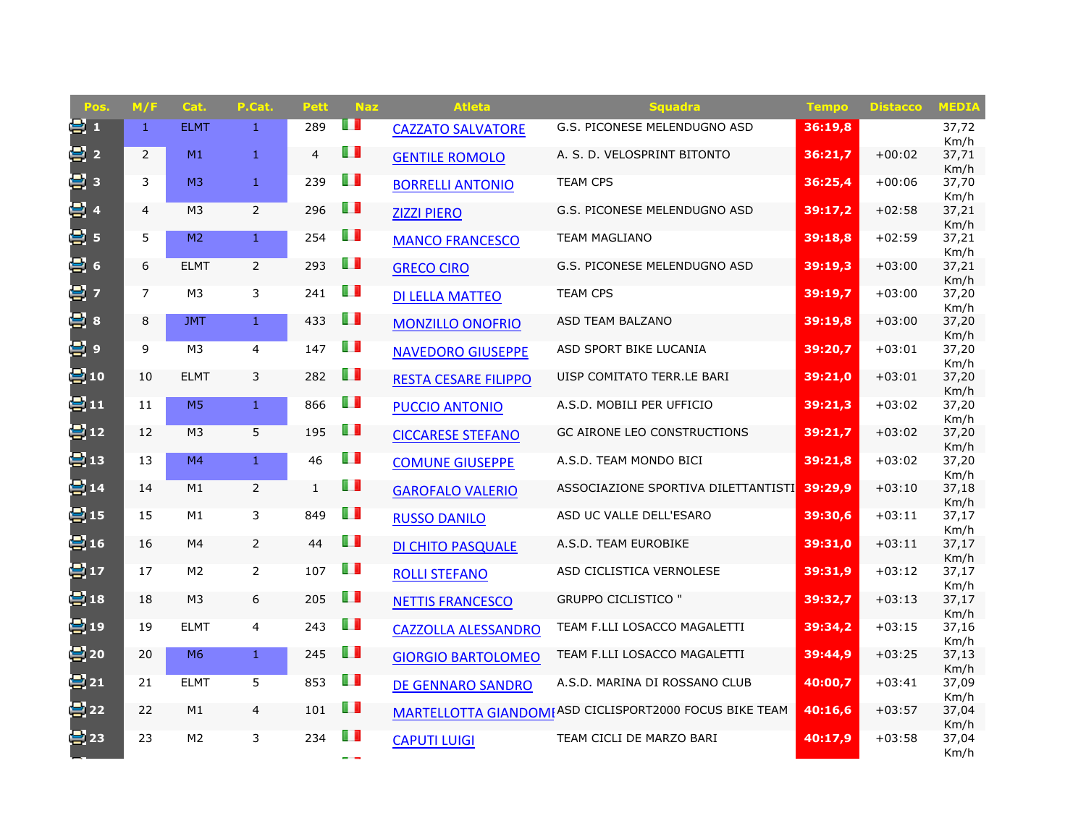| Pos.            | M/F            | Cat.           | P.Cat.         | <b>Pett</b>    | <b>Naz</b>     | <b>Atleta</b>               | <b>Squadra</b>                                         | <b>Tempo</b> | <b>Distacco</b> | <b>MEDIA</b>  |
|-----------------|----------------|----------------|----------------|----------------|----------------|-----------------------------|--------------------------------------------------------|--------------|-----------------|---------------|
| 91              | $\mathbf{1}$   | <b>ELMT</b>    | $\mathbf{1}$   | 289            | H              | <b>CAZZATO SALVATORE</b>    | G.S. PICONESE MELENDUGNO ASD                           | 36:19,8      |                 | 37,72<br>Km/h |
| 달 2             | $\overline{2}$ | M1             | $\mathbf{1}$   | $\overline{4}$ | H              | <b>GENTILE ROMOLO</b>       | A. S. D. VELOSPRINT BITONTO                            | 36:21,7      | $+00:02$        | 37,71         |
| 달 3             | 3              | M <sub>3</sub> | $\mathbf{1}$   | 239            | U D            | <b>BORRELLI ANTONIO</b>     | <b>TEAM CPS</b>                                        | 36:25,4      | $+00:06$        | Km/h<br>37,70 |
| 달 4             | $\overline{4}$ | M <sub>3</sub> | $\overline{2}$ | 296            | H I            | <b>ZIZZI PIERO</b>          | G.S. PICONESE MELENDUGNO ASD                           | 39:17,2      | $+02:58$        | Km/h<br>37,21 |
| 블 5             | 5              | M <sub>2</sub> | $\mathbf{1}$   | 254            | $\blacksquare$ |                             | <b>TEAM MAGLIANO</b>                                   | 39:18,8      | $+02:59$        | Km/h<br>37,21 |
|                 |                |                |                |                |                | <b>MANCO FRANCESCO</b>      |                                                        |              |                 | Km/h          |
| 曡 6             | 6              | <b>ELMT</b>    | $\overline{2}$ | 293            | $\blacksquare$ | <b>GRECO CIRO</b>           | G.S. PICONESE MELENDUGNO ASD                           | 39:19,3      | $+03:00$        | 37,21<br>Km/h |
| 날 7             | $\overline{7}$ | M <sub>3</sub> | 3              | 241            | $\blacksquare$ | <b>DI LELLA MATTEO</b>      | <b>TEAM CPS</b>                                        | 39:19.7      | $+03:00$        | 37,20         |
| 曡 8             | 8              | <b>JMT</b>     | 1 <sup>1</sup> | 433            | Œ              | <b>MONZILLO ONOFRIO</b>     | ASD TEAM BALZANO                                       | 39:19,8      | $+03:00$        | Km/h<br>37,20 |
|                 |                |                |                |                |                |                             |                                                        |              |                 | Km/h          |
| 冒。              | 9              | M <sub>3</sub> | $\overline{4}$ | 147            | ПD             | <b>NAVEDORO GIUSEPPE</b>    | ASD SPORT BIKE LUCANIA                                 | 39:20.7      | $+03:01$        | 37,20         |
| e: 10           | 10             | <b>ELMT</b>    | 3              | 282            | U I            | <b>RESTA CESARE FILIPPO</b> | UISP COMITATO TERR.LE BARI                             | 39:21,0      | $+03:01$        | Km/h<br>37,20 |
| 말11             | 11             | M <sub>5</sub> | $\mathbf{1}$   | 866            | O D            |                             |                                                        | 39:21,3      | $+03:02$        | Km/h          |
|                 |                |                |                |                |                | <b>PUCCIO ANTONIO</b>       | A.S.D. MOBILI PER UFFICIO                              |              |                 | 37,20<br>Km/h |
| <b>号</b> 12     | 12             | M <sub>3</sub> | 5              | 195            | ш              | <b>CICCARESE STEFANO</b>    | GC AIRONE LEO CONSTRUCTIONS                            | 39:21,7      | $+03:02$        | 37,20         |
| $\mathbf{2}$ 13 | 13             | M4             | $\mathbf{1}$   | 46             | O D            | <b>COMUNE GIUSEPPE</b>      | A.S.D. TEAM MONDO BICI                                 | 39:21,8      | $+03:02$        | Km/h<br>37,20 |
|                 |                |                |                |                | LП             |                             |                                                        |              |                 | Km/h          |
| $\bullet$ 14    | 14             | M1             | $\overline{2}$ | $\mathbf{1}$   |                | <b>GAROFALO VALERIO</b>     | ASSOCIAZIONE SPORTIVA DILETTANTISTI                    | 39:29,9      | $+03:10$        | 37,18<br>Km/h |
| 兽15             | 15             | M1             | 3              | 849            | H              | <b>RUSSO DANILO</b>         | ASD UC VALLE DELL'ESARO                                | 39:30,6      | $+03:11$        | 37,17         |
| $\mathbf{E}$ 16 | 16             | M4             | $\overline{2}$ | 44             | H              | <b>DI CHITO PASQUALE</b>    | A.S.D. TEAM EUROBIKE                                   | 39:31,0      | $+03:11$        | Km/h<br>37,17 |
|                 |                |                |                |                |                |                             |                                                        |              |                 | Km/h          |
| 을 17            | 17             | M <sub>2</sub> | $\overline{2}$ | 107            | H I            | <b>ROLLI STEFANO</b>        | ASD CICLISTICA VERNOLESE                               | 39:31,9      | $+03:12$        | 37,17<br>Km/h |
| $\mathbf{E}$ 18 | 18             | M <sub>3</sub> | 6              | 205            | H.             | <b>NETTIS FRANCESCO</b>     | <b>GRUPPO CICLISTICO "</b>                             | 39:32,7      | $+03:13$        | 37,17         |
| e: 19           | 19             | <b>ELMT</b>    | $\overline{4}$ | 243            | H I            |                             | TEAM F.LLI LOSACCO MAGALETTI                           | 39:34,2      | $+03:15$        | Km/h<br>37,16 |
|                 |                |                |                |                |                | <b>CAZZOLLA ALESSANDRO</b>  |                                                        |              |                 | Km/h          |
| 본 20            | 20             | M <sub>6</sub> | $\mathbf{1}$   | 245            | DП             | <b>GIORGIO BARTOLOMEO</b>   | TEAM F.LLI LOSACCO MAGALETTI                           | 39:44,9      | $+03:25$        | 37,13         |
| 달21             | 21             | <b>ELMT</b>    | 5              | 853            | $\blacksquare$ | <b>DE GENNARO SANDRO</b>    | A.S.D. MARINA DI ROSSANO CLUB                          | 40:00.7      | $+03:41$        | Km/h<br>37,09 |
|                 |                |                |                |                | $\blacksquare$ |                             |                                                        |              |                 | Km/h          |
| 를 22            | 22             | M1             | $\overline{4}$ | 101            |                |                             | MARTELLOTTA GIANDOMIASD CICLISPORT2000 FOCUS BIKE TEAM | 40:16.6      | $+03:57$        | 37,04<br>Km/h |
| <b>문</b> 23     | 23             | M <sub>2</sub> | 3              | 234            | H              | <b>CAPUTI LUIGI</b>         | TEAM CICLI DE MARZO BARI                               | 40:17,9      | $+03:58$        | 37,04         |
|                 |                |                |                |                |                |                             |                                                        |              |                 | Km/h          |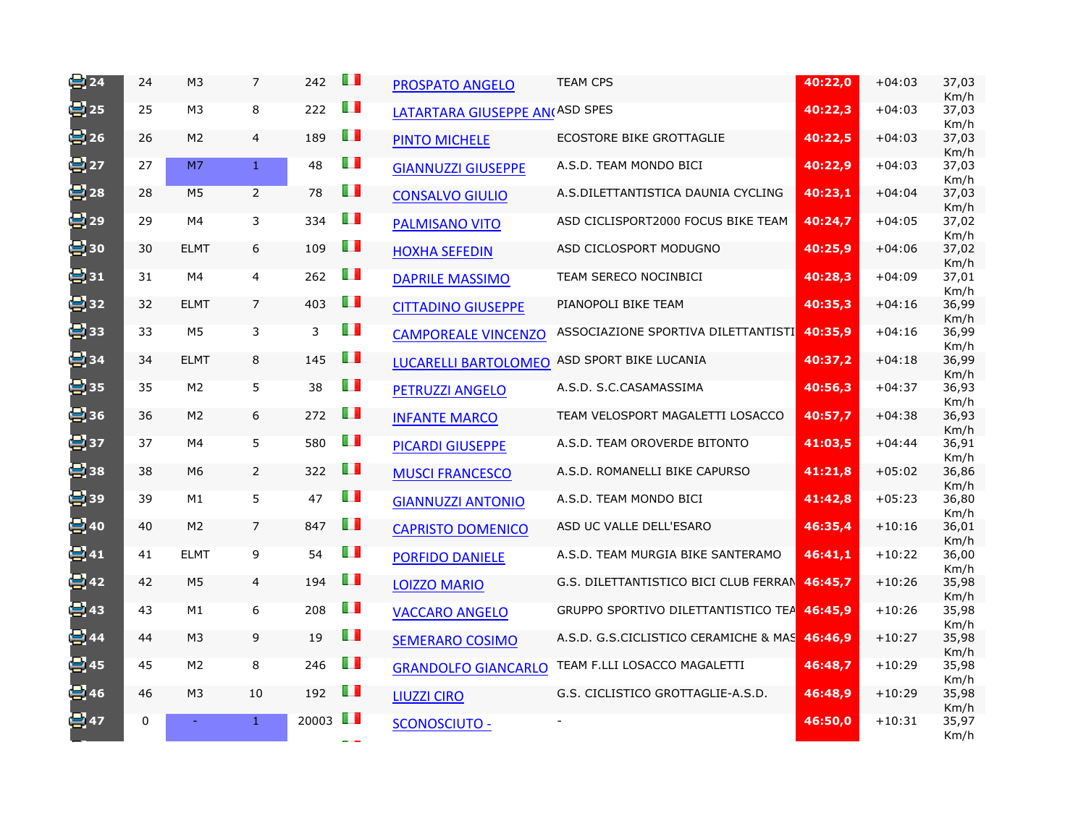| $\approx$ 24      | 24 | M <sub>3</sub> | $\overline{7}$   | 242                  | LП  | <b>PROSPATO ANGELO</b>                | <b>TEAM CPS</b>                       | 40:22,0 | $+04:03$ | 37,03<br>Km/h |
|-------------------|----|----------------|------------------|----------------------|-----|---------------------------------------|---------------------------------------|---------|----------|---------------|
| 를 25              | 25 | M <sub>3</sub> | 8                | 222                  | H   | <b>LATARTARA GIUSEPPE AN(ASD SPES</b> |                                       | 40:22,3 | $+04:03$ | 37,03<br>Km/h |
| 를 26              | 26 | M <sub>2</sub> | $\overline{4}$   | 189                  | ш   | PINTO MICHELE                         | ECOSTORE BIKE GROTTAGLIE              | 40:22,5 | $+04:03$ | 37,03<br>Km/h |
| 별27               | 27 | M7             | $\mathbf{1}$     | 48                   | O D | <b>GIANNUZZI GIUSEPPE</b>             | A.S.D. TEAM MONDO BICI                | 40:22,9 | $+04:03$ | 37,03<br>Km/h |
| 본 28              | 28 | M <sub>5</sub> | $\overline{2}$   | 78                   | ПD  | <b>CONSALVO GIULIO</b>                | A.S.DILETTANTISTICA DAUNIA CYCLING    | 40:23,1 | $+04:04$ | 37,03<br>Km/h |
| <mark>号</mark> 29 | 29 | M4             | 3                | 334                  | LП  | <b>PALMISANO VITO</b>                 | ASD CICLISPORT2000 FOCUS BIKE TEAM    | 40:24,7 | $+04:05$ | 37,02<br>Km/h |
| 발30               | 30 | <b>ELMT</b>    | $\boldsymbol{6}$ | 109                  | Ш   | <b>HOXHA SEFEDIN</b>                  | ASD CICLOSPORT MODUGNO                | 40:25,9 | $+04:06$ | 37,02<br>Km/h |
| 날31               | 31 | M4             | $\overline{4}$   | 262                  | H   | <b>DAPRILE MASSIMO</b>                | TEAM SERECO NOCINBICI                 | 40:28,3 | $+04:09$ | 37,01<br>Km/h |
| el 32             | 32 | <b>ELMT</b>    | $\overline{7}$   | 403                  | Ш   | <b>CITTADINO GIUSEPPE</b>             | PIANOPOLI BIKE TEAM                   | 40:35,3 | $+04:16$ | 36,99<br>Km/h |
| 블33               | 33 | M <sub>5</sub> | 3                | 3                    | H   | <b>CAMPOREALE VINCENZO</b>            | ASSOCIAZIONE SPORTIVA DILETTANTISTI   | 40:35.9 | $+04:16$ | 36,99<br>Km/h |
| 를 34              | 34 | <b>ELMT</b>    | 8                | 145                  | H   | <b>LUCARELLI BARTOLOMEO</b>           | ASD SPORT BIKE LUCANIA                | 40:37,2 | $+04:18$ | 36,99<br>Km/h |
| 를 35              | 35 | M <sub>2</sub> | 5                | 38                   | O D | PETRUZZI ANGELO                       | A.S.D. S.C.CASAMASSIMA                | 40:56,3 | $+04:37$ | 36,93<br>Km/h |
| 兽36               | 36 | M <sub>2</sub> | 6                | 272                  | ПD  | <b>INFANTE MARCO</b>                  | TEAM VELOSPORT MAGALETTI LOSACCO      | 40:57,7 | $+04:38$ | 36,93<br>Km/h |
| 별37               | 37 | M4             | 5                | 580                  | ШT  | <b>PICARDI GIUSEPPE</b>               | A.S.D. TEAM OROVERDE BITONTO          | 41:03,5 | $+04:44$ | 36,91<br>Km/h |
| 블 38              | 38 | M <sub>6</sub> | $\overline{2}$   | 322                  | U D | <b>MUSCI FRANCESCO</b>                | A.S.D. ROMANELLI BIKE CAPURSO         | 41:21,8 | $+05:02$ | 36,86<br>Km/h |
| 블 39              | 39 | M1             | 5                | 47                   | ПD  | <b>GIANNUZZI ANTONIO</b>              | A.S.D. TEAM MONDO BICI                | 41:42,8 | $+05:23$ | 36,80<br>Km/h |
| 를 40              | 40 | M <sub>2</sub> | $\overline{7}$   | 847                  | Ш   | <b>CAPRISTO DOMENICO</b>              | ASD UC VALLE DELL'ESARO               | 46:35,4 | $+10:16$ | 36,01<br>Km/h |
| 블41               | 41 | <b>ELMT</b>    | 9                | 54                   | H   | PORFIDO DANIELE                       | A.S.D. TEAM MURGIA BIKE SANTERAMO     | 46:41,1 | $+10:22$ | 36,00<br>Km/h |
| 발42               | 42 | M <sub>5</sub> | $\overline{4}$   | 194                  | Ш   | <b>LOIZZO MARIO</b>                   | G.S. DILETTANTISTICO BICI CLUB FERRAN | 46:45,7 | $+10:26$ | 35,98<br>Km/h |
| 를 43              | 43 | M1             | 6                | 208                  | U I | <b>VACCARO ANGELO</b>                 | GRUPPO SPORTIVO DILETTANTISTICO TEA   | 46:45,9 | $+10:26$ | 35,98<br>Km/h |
| $\approx$ 44      | 44 | M <sub>3</sub> | 9                | 19                   | O D | <b>SEMERARO COSIMO</b>                | A.S.D. G.S.CICLISTICO CERAMICHE & MAS | 46:46,9 | $+10:27$ | 35,98<br>Km/h |
| 을 45              | 45 | M <sub>2</sub> | 8                | 246                  | Ш   | <b>GRANDOLFO GIANCARLO</b>            | TEAM F.LLI LOSACCO MAGALETTI          | 46:48,7 | $+10:29$ | 35,98<br>Km/h |
| 兽46               | 46 | M <sub>3</sub> | 10               | 192                  | O D | <b>LIUZZI CIRO</b>                    | G.S. CICLISTICO GROTTAGLIE-A.S.D.     | 46:48,9 | $+10:29$ | 35,98<br>Km/h |
| $\equiv$ 47       | 0  |                | $\mathbf{1}$     | 20003 $\blacksquare$ |     | <b>SCONOSCIUTO -</b>                  |                                       | 46:50,0 | $+10:31$ | 35,97<br>Km/h |
|                   |    |                |                  |                      |     |                                       |                                       |         |          |               |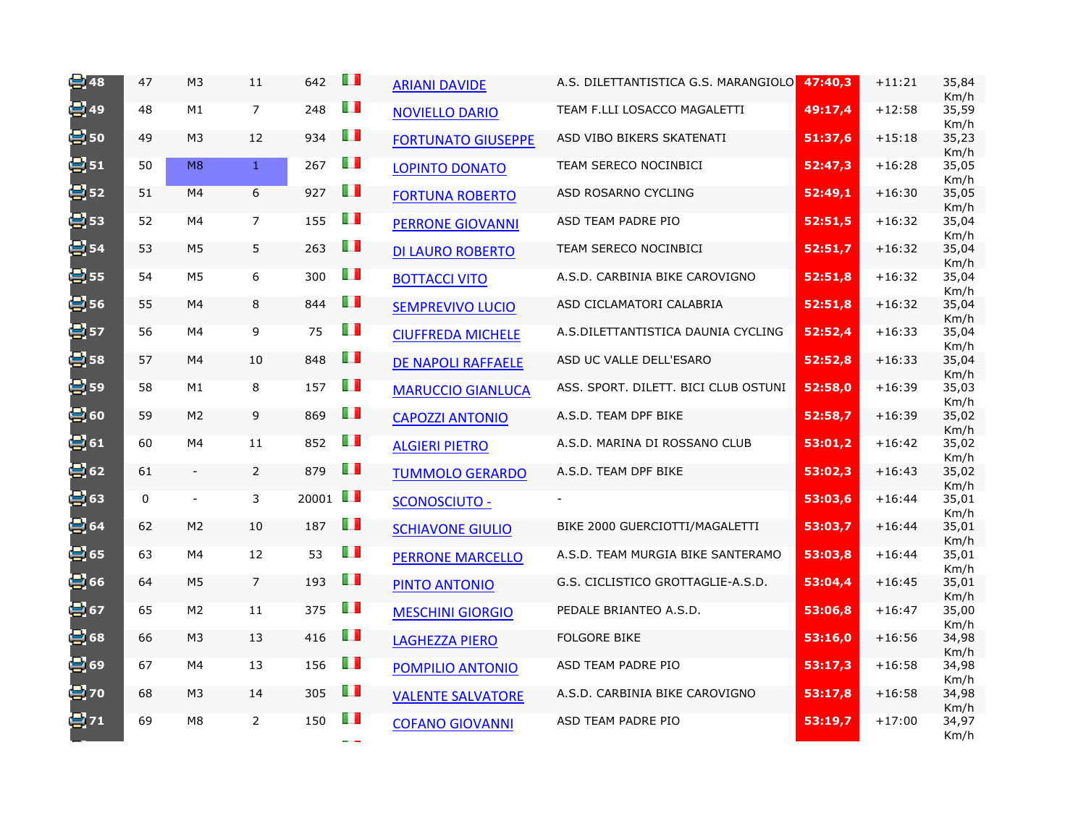| $\equiv$ 48       | 47          | M <sub>3</sub> | $11\,$         | 642   | H              | <b>ARIANI DAVIDE</b>      | A.S. DILETTANTISTICA G.S. MARANGIOLO | 47:40,3 | $+11:21$ | 35,84<br>Km/h         |
|-------------------|-------------|----------------|----------------|-------|----------------|---------------------------|--------------------------------------|---------|----------|-----------------------|
| <mark>星</mark> 49 | 48          | M1             | $\overline{7}$ | 248   | Ш              | <b>NOVIELLO DARIO</b>     | TEAM F.LLI LOSACCO MAGALETTI         | 49:17,4 | $+12:58$ | 35,59<br>Km/h         |
| e: 50             | 49          | M <sub>3</sub> | 12             | 934   | Ш              | <b>FORTUNATO GIUSEPPE</b> | ASD VIBO BIKERS SKATENATI            | 51:37,6 | $+15:18$ | 35,23<br>Km/h         |
| 달51               | 50          | M8             | $\mathbf{1}$   | 267   | Ш              | <b>LOPINTO DONATO</b>     | TEAM SERECO NOCINBICI                | 52:47,3 | $+16:28$ | 35,05<br>Km/h         |
| 를 52              | 51          | M4             | 6              | 927   | H              | <b>FORTUNA ROBERTO</b>    | ASD ROSARNO CYCLING                  | 52:49,1 | $+16:30$ | 35,05<br>Km/h         |
| 를 53              | 52          | M4             | 7              | 155   | H              | <b>PERRONE GIOVANNI</b>   | ASD TEAM PADRE PIO                   | 52:51,5 | $+16:32$ | 35,04<br>Km/h         |
| 믱54               | 53          | M <sub>5</sub> | 5              | 263   | U I            | <b>DI LAURO ROBERTO</b>   | TEAM SERECO NOCINBICI                | 52:51,7 | $+16:32$ | 35,04                 |
| 발55               | 54          | M <sub>5</sub> | 6              | 300   | H              | <b>BOTTACCI VITO</b>      | A.S.D. CARBINIA BIKE CAROVIGNO       | 52:51,8 | $+16:32$ | Km/h<br>35,04         |
| 图56               | 55          | M4             | 8              | 844   | U I            | <b>SEMPREVIVO LUCIO</b>   | ASD CICLAMATORI CALABRIA             | 52:51,8 | $+16:32$ | Km/h<br>35,04         |
| 를 57              | 56          | M4             | 9              | 75    | Ш              | <b>CIUFFREDA MICHELE</b>  | A.S.DILETTANTISTICA DAUNIA CYCLING   | 52:52,4 | $+16:33$ | Km/h<br>35,04         |
| $\bullet$ 58      | 57          | M4             | 10             | 848   | U I            | DE NAPOLI RAFFAELE        | ASD UC VALLE DELL'ESARO              | 52:52,8 | $+16:33$ | Km/h<br>35,04         |
| 를 59              | 58          | M1             | 8              | 157   | Ш              | <b>MARUCCIO GIANLUCA</b>  | ASS. SPORT. DILETT. BICI CLUB OSTUNI | 52:58,0 | $+16:39$ | Km/h<br>35,03<br>Km/h |
| 블 60              | 59          | M <sub>2</sub> | 9              | 869   | H              | <b>CAPOZZI ANTONIO</b>    | A.S.D. TEAM DPF BIKE                 | 52:58,7 | $+16:39$ | 35,02<br>Km/h         |
| e 61              | 60          | M4             | 11             | 852   | H              | <b>ALGIERI PIETRO</b>     | A.S.D. MARINA DI ROSSANO CLUB        | 53:01,2 | $+16:42$ | 35,02<br>Km/h         |
| 발62               | 61          | $\blacksquare$ | $\overline{2}$ | 879   | H              | <b>TUMMOLO GERARDO</b>    | A.S.D. TEAM DPF BIKE                 | 53:02,3 | $+16:43$ | 35,02<br>Km/h         |
| 별63               | $\mathbf 0$ | $\blacksquare$ | 3              | 20001 | O D            | <b>SCONOSCIUTO -</b>      |                                      | 53:03,6 | $+16:44$ | 35,01<br>Km/h         |
| 봄64               | 62          | M <sub>2</sub> | 10             | 187   | H              | <b>SCHIAVONE GIULIO</b>   | BIKE 2000 GUERCIOTTI/MAGALETTI       | 53:03,7 | $+16:44$ | 35,01<br>Km/h         |
| 를 65              | 63          | M4             | 12             | 53    | H I            | <b>PERRONE MARCELLO</b>   | A.S.D. TEAM MURGIA BIKE SANTERAMO    | 53:03,8 | $+16:44$ | 35,01                 |
| 号 66              | 64          | M <sub>5</sub> | $\overline{7}$ | 193   | Ш              | <b>PINTO ANTONIO</b>      | G.S. CICLISTICO GROTTAGLIE-A.S.D.    | 53:04,4 | $+16:45$ | Km/h<br>35,01         |
| 를 67              | 65          | M <sub>2</sub> | 11             | 375   | Ш              | <b>MESCHINI GIORGIO</b>   | PEDALE BRIANTEO A.S.D.               | 53:06,8 | $+16:47$ | Km/h<br>35,00         |
| 冒68               | 66          | M <sub>3</sub> | 13             | 416   | H              | <b>LAGHEZZA PIERO</b>     | <b>FOLGORE BIKE</b>                  | 53:16,0 | $+16:56$ | Km/h<br>34,98         |
| ₩69               | 67          | M4             | 13             | 156   | H I            | POMPILIO ANTONIO          | ASD TEAM PADRE PIO                   | 53:17,3 | $+16:58$ | Km/h<br>34,98         |
| 를 70              | 68          | M <sub>3</sub> | 14             | 305   | $\blacksquare$ | <b>VALENTE SALVATORE</b>  | A.S.D. CARBINIA BIKE CAROVIGNO       | 53:17,8 | $+16:58$ | Km/h<br>34,98         |
| 달 71              | 69          | M <sub>8</sub> | $\overline{2}$ | 150   | ШT             | <b>COFANO GIOVANNI</b>    | ASD TEAM PADRE PIO                   | 53:19,7 | $+17:00$ | Km/h<br>34,97<br>Km/h |
|                   |             |                |                |       |                |                           |                                      |         |          |                       |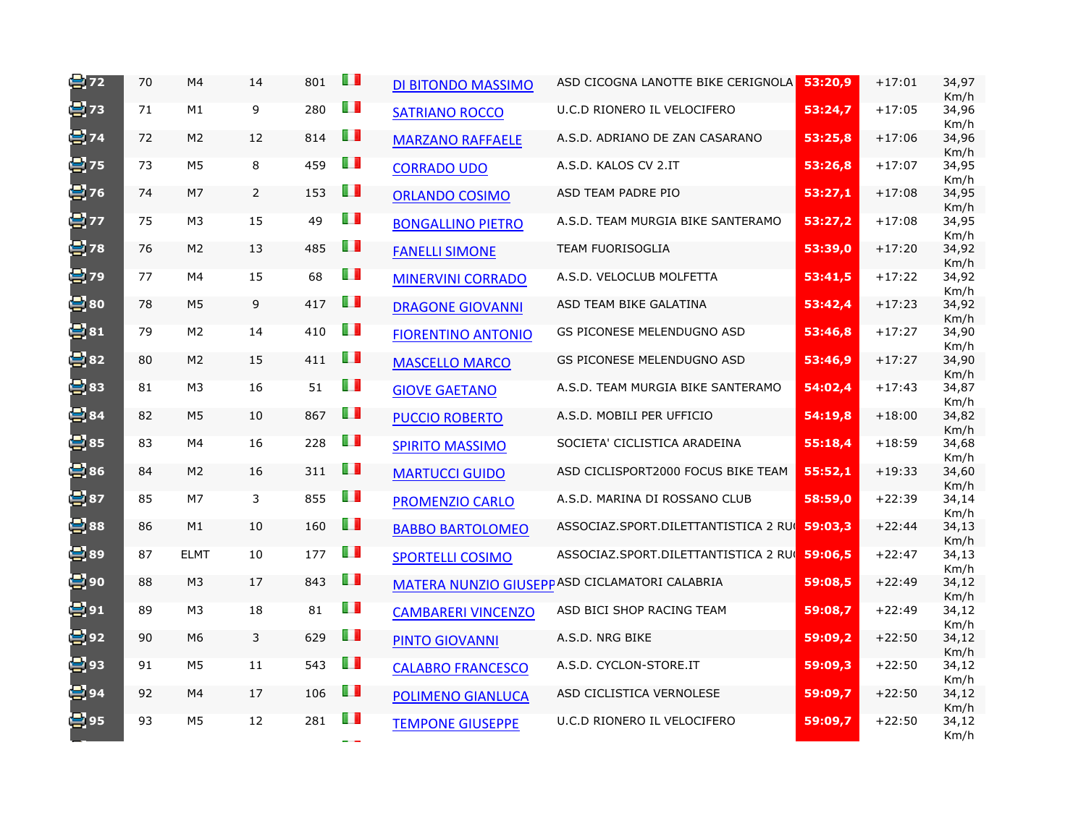| 를 72              | 70 | M4             | 14             | 801 | H              | DI BITONDO MASSIMO        | ASD CICOGNA LANOTTE BIKE CERIGNOLA                   | 53:20,9 | $+17:01$ | 34,97<br>Km/h |
|-------------------|----|----------------|----------------|-----|----------------|---------------------------|------------------------------------------------------|---------|----------|---------------|
| 블 73              | 71 | M1             | 9              | 280 | O D            | <b>SATRIANO ROCCO</b>     | U.C.D RIONERO IL VELOCIFERO                          | 53:24,7 | $+17:05$ | 34,96<br>Km/h |
| 블 74              | 72 | M <sub>2</sub> | 12             | 814 | m              | <b>MARZANO RAFFAELE</b>   | A.S.D. ADRIANO DE ZAN CASARANO                       | 53:25,8 | $+17:06$ | 34,96<br>Km/h |
| 발75               | 73 | M <sub>5</sub> | 8              | 459 | m              | <b>CORRADO UDO</b>        | A.S.D. KALOS CV 2.IT                                 | 53:26,8 | $+17:07$ | 34,95<br>Km/h |
| 발76               | 74 | M7             | $\overline{2}$ | 153 | m              | <b>ORLANDO COSIMO</b>     | ASD TEAM PADRE PIO                                   | 53:27,1 | $+17:08$ | 34,95<br>Km/h |
| 발77               | 75 | M <sub>3</sub> | 15             | 49  | l I            | <b>BONGALLINO PIETRO</b>  | A.S.D. TEAM MURGIA BIKE SANTERAMO                    | 53:27,2 | $+17:08$ | 34,95<br>Km/h |
| 를 78              | 76 | M <sub>2</sub> | 13             | 485 | Ш              | <b>FANELLI SIMONE</b>     | <b>TEAM FUORISOGLIA</b>                              | 53:39,0 | $+17:20$ | 34,92<br>Km/h |
| 블 79              | 77 | M4             | 15             | 68  | DП             | <b>MINERVINI CORRADO</b>  | A.S.D. VELOCLUB MOLFETTA                             | 53:41,5 | $+17:22$ | 34,92<br>Km/h |
| 兽80               | 78 | M <sub>5</sub> | 9              | 417 | H              | <b>DRAGONE GIOVANNI</b>   | ASD TEAM BIKE GALATINA                               | 53:42,4 | $+17:23$ | 34,92<br>Km/h |
| e 81              | 79 | M <sub>2</sub> | 14             | 410 | O D            | <b>FIORENTINO ANTONIO</b> | GS PICONESE MELENDUGNO ASD                           | 53:46,8 | $+17:27$ | 34,90<br>Km/h |
| 兽82               | 80 | M <sub>2</sub> | 15             | 411 | Ш              | <b>MASCELLO MARCO</b>     | GS PICONESE MELENDUGNO ASD                           | 53:46,9 | $+17:27$ | 34,90<br>Km/h |
| 를 83              | 81 | M3             | 16             | 51  | O D            | <b>GIOVE GAETANO</b>      | A.S.D. TEAM MURGIA BIKE SANTERAMO                    | 54:02,4 | $+17:43$ | 34,87<br>Km/h |
| 冒84               | 82 | M <sub>5</sub> | 10             | 867 | ПD             | <b>PUCCIO ROBERTO</b>     | A.S.D. MOBILI PER UFFICIO                            | 54:19,8 | $+18:00$ | 34,82<br>Km/h |
| 兽85               | 83 | M4             | 16             | 228 | ПI             | <b>SPIRITO MASSIMO</b>    | SOCIETA' CICLISTICA ARADEINA                         | 55:18,4 | $+18:59$ | 34,68<br>Km/h |
| 兽86               | 84 | M <sub>2</sub> | 16             | 311 | LП             | <b>MARTUCCI GUIDO</b>     | ASD CICLISPORT2000 FOCUS BIKE TEAM                   | 55:52,1 | $+19:33$ | 34,60<br>Km/h |
| 兽87               | 85 | M <sub>7</sub> | 3              | 855 | m              | <b>PROMENZIO CARLO</b>    | A.S.D. MARINA DI ROSSANO CLUB                        | 58:59,0 | $+22:39$ | 34,14<br>Km/h |
| 兽88               | 86 | M1             | 10             | 160 | ПI             | <b>BABBO BARTOLOMEO</b>   | ASSOCIAZ.SPORT.DILETTANTISTICA 2 RUI 59:03,3         |         | $+22:44$ | 34,13<br>Km/h |
| 兽89               | 87 | <b>ELMT</b>    | 10             | 177 | U I            | <b>SPORTELLI COSIMO</b>   | ASSOCIAZ.SPORT.DILETTANTISTICA 2 RUI 59:06,5         |         | $+22:47$ | 34,13<br>Km/h |
| 를 90              | 88 | M <sub>3</sub> | 17             | 843 | Ш              |                           | <b>MATERA NUNZIO GIUSEPPASD CICLAMATORI CALABRIA</b> | 59:08,5 | $+22:49$ | 34,12<br>Km/h |
| 블91               | 89 | M <sub>3</sub> | 18             | 81  | H              | <b>CAMBARERI VINCENZO</b> | ASD BICI SHOP RACING TEAM                            | 59:08,7 | $+22:49$ | 34,12<br>Km/h |
| 를 92              | 90 | M <sub>6</sub> | 3              | 629 | IП             | <b>PINTO GIOVANNI</b>     | A.S.D. NRG BIKE                                      | 59:09,2 | $+22:50$ | 34,12<br>Km/h |
| 兽93               | 91 | M5             | 11             | 543 | DП             | <b>CALABRO FRANCESCO</b>  | A.S.D. CYCLON-STORE.IT                               | 59:09,3 | $+22:50$ | 34,12<br>Km/h |
| <mark>兽</mark> 94 | 92 | M4             | 17             | 106 | Œ              | <b>POLIMENO GIANLUCA</b>  | ASD CICLISTICA VERNOLESE                             | 59:09,7 | $+22:50$ | 34,12<br>Km/h |
| 兽95               | 93 | M5             | 12             | 281 | $\blacksquare$ | <b>TEMPONE GIUSEPPE</b>   | U.C.D RIONERO IL VELOCIFERO                          | 59:09,7 | $+22:50$ | 34,12<br>Km/h |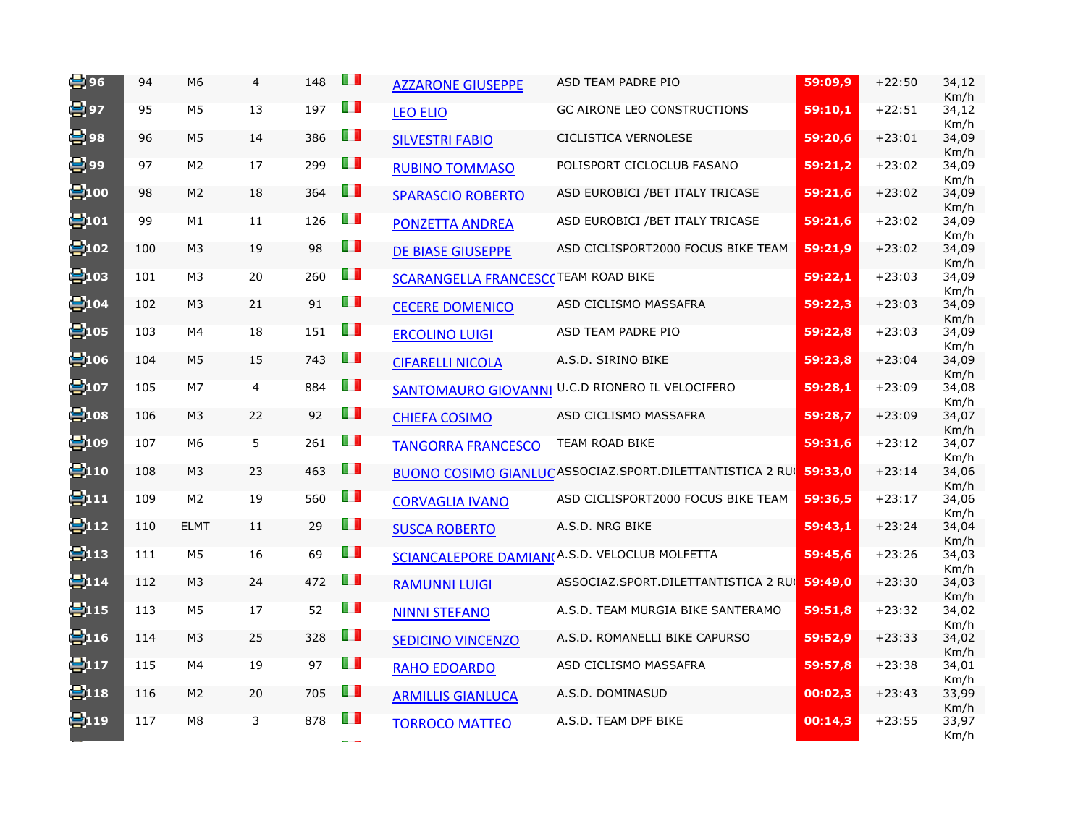| ( <mark>二</mark> 96 | 94  | M <sub>6</sub> | $\overline{4}$ | 148 | H              | <b>AZZARONE GIUSEPPE</b>                   | ASD TEAM PADRE PIO                                                       | 59:09,9 | $+22:50$ | 34,12<br>Km/h |
|---------------------|-----|----------------|----------------|-----|----------------|--------------------------------------------|--------------------------------------------------------------------------|---------|----------|---------------|
| 발97                 | 95  | M <sub>5</sub> | 13             | 197 | H              | <b>LEO ELIO</b>                            | GC AIRONE LEO CONSTRUCTIONS                                              | 59:10,1 | $+22:51$ | 34,12<br>Km/h |
| 를 98                | 96  | M <sub>5</sub> | 14             | 386 | Œ              | <b>SILVESTRI FABIO</b>                     | CICLISTICA VERNOLESE                                                     | 59:20,6 | $+23:01$ | 34,09<br>Km/h |
| 발99                 | 97  | M <sub>2</sub> | 17             | 299 | H              | <b>RUBINO TOMMASO</b>                      | POLISPORT CICLOCLUB FASANO                                               | 59:21,2 | $+23:02$ | 34,09<br>Km/h |
| e100                | 98  | M <sub>2</sub> | 18             | 364 | LП             | SPARASCIO ROBERTO                          | ASD EUROBICI / BET ITALY TRICASE                                         | 59:21,6 | $+23:02$ | 34,09<br>Km/h |
| <mark>学</mark> 101  | 99  | M1             | 11             | 126 | H              | <b>PONZETTA ANDREA</b>                     | ASD EUROBICI / BET ITALY TRICASE                                         | 59:21,6 | $+23:02$ | 34,09<br>Km/h |
| 볼102                | 100 | M <sub>3</sub> | 19             | 98  | Ш              | <b>DE BIASE GIUSEPPE</b>                   | ASD CICLISPORT2000 FOCUS BIKE TEAM                                       | 59:21,9 | $+23:02$ | 34,09         |
| <mark>兽</mark> 103  | 101 | M <sub>3</sub> | 20             | 260 | H              | <b>SCARANGELLA FRANCESC(TEAM ROAD BIKE</b> |                                                                          | 59:22,1 | $+23:03$ | Km/h<br>34,09 |
| e104                | 102 | M <sub>3</sub> | 21             | 91  | ш              | <b>CECERE DOMENICO</b>                     | ASD CICLISMO MASSAFRA                                                    | 59:22,3 | $+23:03$ | Km/h<br>34,09 |
| e105                | 103 | M4             | 18             | 151 | LП             | <b>ERCOLINO LUIGI</b>                      | ASD TEAM PADRE PIO                                                       | 59:22,8 | $+23:03$ | Km/h<br>34,09 |
| €106                | 104 | M <sub>5</sub> | 15             | 743 | O D            | <b>CIFARELLI NICOLA</b>                    | A.S.D. SIRINO BIKE                                                       | 59:23,8 | $+23:04$ | Km/h<br>34,09 |
| $\Xi$ 107           | 105 | M7             | $\overline{4}$ | 884 | $\blacksquare$ |                                            | SANTOMAURO GIOVANNI U.C.D RIONERO IL VELOCIFERO                          | 59:28,1 | $+23:09$ | Km/h<br>34,08 |
| $\blacksquare$ 108  | 106 | M <sub>3</sub> | 22             | 92  | H              | <b>CHIEFA COSIMO</b>                       | ASD CICLISMO MASSAFRA                                                    | 59:28,7 | $+23:09$ | Km/h<br>34,07 |
| <mark>号</mark> 109  | 107 | M6             | 5              | 261 | H              | <b>TANGORRA FRANCESCO</b>                  | TEAM ROAD BIKE                                                           | 59:31,6 | $+23:12$ | Km/h<br>34,07 |
| 2110                | 108 | M <sub>3</sub> | 23             | 463 | Ш              |                                            | <b>BUONO COSIMO GIANLUC ASSOCIAZ.SPORT.DILETTANTISTICA 2 RUC 59:33,0</b> |         | $+23:14$ | Km/h<br>34,06 |
| 2111                | 109 | M <sub>2</sub> | 19             | 560 | Ш              | <b>CORVAGLIA IVANO</b>                     | ASD CICLISPORT2000 FOCUS BIKE TEAM                                       | 59:36,5 | $+23:17$ | Km/h<br>34,06 |
| 2112                | 110 | <b>ELMT</b>    | 11             | 29  | H              | <b>SUSCA ROBERTO</b>                       | A.S.D. NRG BIKE                                                          | 59:43,1 | $+23:24$ | Km/h<br>34,04 |
| ₩13                 | 111 | M <sub>5</sub> | 16             | 69  | H              |                                            | SCIANCALEPORE DAMIAN(A.S.D. VELOCLUB MOLFETTA                            | 59:45,6 | $+23:26$ | Km/h<br>34,03 |
| <b>2</b> 114        | 112 | M <sub>3</sub> | 24             | 472 | H              | <b>RAMUNNI LUIGI</b>                       | ASSOCIAZ.SPORT.DILETTANTISTICA 2 RUI 59:49,0                             |         | $+23:30$ | Km/h<br>34,03 |
| <b>B</b> 115        | 113 | M5             | 17             | 52  | $\blacksquare$ | <b>NINNI STEFANO</b>                       | A.S.D. TEAM MURGIA BIKE SANTERAMO                                        | 59:51,8 | $+23:32$ | Km/h<br>34,02 |
| 2116                | 114 | M3             | 25             | 328 | H              | <b>SEDICINO VINCENZO</b>                   | A.S.D. ROMANELLI BIKE CAPURSO                                            | 59:52,9 | $+23:33$ | Km/h<br>34,02 |
| <b>2</b> 117        | 115 | M4             | 19             | 97  | H              | <b>RAHO EDOARDO</b>                        | ASD CICLISMO MASSAFRA                                                    | 59:57,8 | $+23:38$ | Km/h<br>34,01 |
| e118                | 116 | M <sub>2</sub> | 20             | 705 | Ш              | <b>ARMILLIS GIANLUCA</b>                   | A.S.D. DOMINASUD                                                         | 00:02,3 | $+23:43$ | Km/h<br>33,99 |
| 2119                | 117 | M <sub>8</sub> | 3              | 878 | H              | <b>TORROCO MATTEO</b>                      | A.S.D. TEAM DPF BIKE                                                     | 00:14,3 | $+23:55$ | Km/h<br>33,97 |
|                     |     |                |                |     |                |                                            |                                                                          |         |          | Km/h          |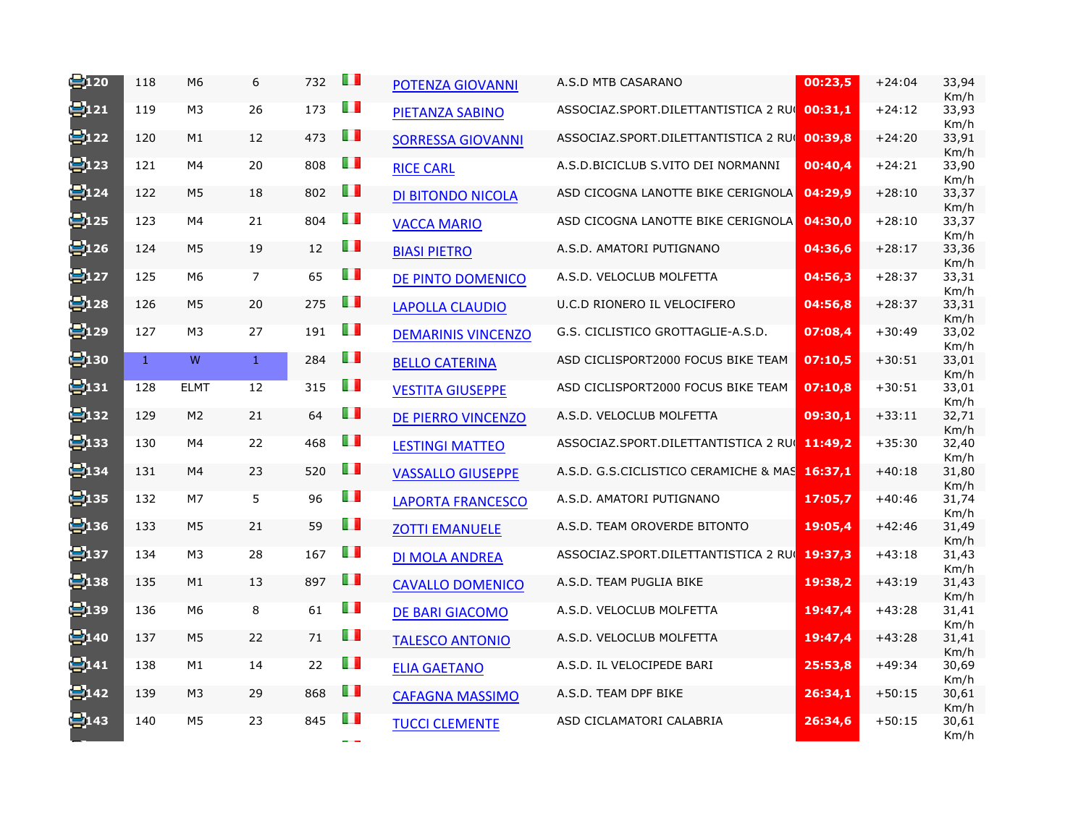| 2120               | 118          | M6             | 6              | 732 | OП  | POTENZA GIOVANNI          | A.S.D MTB CASARANO                           | 00:23,5 | $+24:04$ | 33,94<br>Km/h         |
|--------------------|--------------|----------------|----------------|-----|-----|---------------------------|----------------------------------------------|---------|----------|-----------------------|
| 2121               | 119          | M <sub>3</sub> | 26             | 173 | H I | PIETANZA SABINO           | ASSOCIAZ.SPORT.DILETTANTISTICA 2 RUC         | 00:31,1 | $+24:12$ | 33,93<br>Km/h         |
| e122               | 120          | M1             | 12             | 473 | Ш   | <b>SORRESSA GIOVANNI</b>  | ASSOCIAZ.SPORT.DILETTANTISTICA 2 RUC         | 00:39,8 | $+24:20$ | 33,91<br>Km/h         |
| ₩123               | 121          | M4             | 20             | 808 | H I | <b>RICE CARL</b>          | A.S.D. BICICLUB S.VITO DEI NORMANNI          | 00:40,4 | $+24:21$ | 33,90<br>Km/h         |
| 2124               | 122          | M <sub>5</sub> | 18             | 802 | H   | <b>DI BITONDO NICOLA</b>  | ASD CICOGNA LANOTTE BIKE CERIGNOLA           | 04:29,9 | $+28:10$ | 33,37<br>Km/h         |
| <mark>号</mark> 125 | 123          | M4             | 21             | 804 | H I | <b>VACCA MARIO</b>        | ASD CICOGNA LANOTTE BIKE CERIGNOLA           | 04:30,0 | $+28:10$ | 33,37                 |
| ₩126               | 124          | M <sub>5</sub> | 19             | 12  | Ш   | <b>BIASI PIETRO</b>       | A.S.D. AMATORI PUTIGNANO                     | 04:36,6 | $+28:17$ | Km/h<br>33,36         |
| ₩127               | 125          | M6             | $\overline{7}$ | 65  | Ш   | DE PINTO DOMENICO         | A.S.D. VELOCLUB MOLFETTA                     | 04:56,3 | $+28:37$ | Km/h<br>33,31         |
| e128               | 126          | M <sub>5</sub> | 20             | 275 | ш   | <b>LAPOLLA CLAUDIO</b>    | U.C.D RIONERO IL VELOCIFERO                  | 04:56,8 | $+28:37$ | Km/h<br>33,31         |
| <mark>号</mark> 129 | 127          | M <sub>3</sub> | 27             | 191 | HП  | <b>DEMARINIS VINCENZO</b> | G.S. CICLISTICO GROTTAGLIE-A.S.D.            | 07:08,4 | $+30:49$ | Km/h<br>33,02         |
| $\Xi$ 130          | $\mathbf{1}$ | W              | $\mathbf{1}$   | 284 | Ш   | <b>BELLO CATERINA</b>     | ASD CICLISPORT2000 FOCUS BIKE TEAM           | 07:10.5 | $+30:51$ | Km/h<br>33,01         |
| e <sub>131</sub>   | 128          | <b>ELMT</b>    | 12             | 315 | O D | <b>VESTITA GIUSEPPE</b>   | ASD CICLISPORT2000 FOCUS BIKE TEAM           | 07:10,8 | $+30:51$ | Km/h<br>33,01<br>Km/h |
| e132               | 129          | M <sub>2</sub> | 21             | 64  | ш   | <b>DE PIERRO VINCENZO</b> | A.S.D. VELOCLUB MOLFETTA                     | 09:30,1 | $+33:11$ | 32,71<br>Km/h         |
| <mark>号</mark> 133 | 130          | M4             | 22             | 468 | Ш   | <b>LESTINGI MATTEO</b>    | ASSOCIAZ.SPORT.DILETTANTISTICA 2 RUI 11:49,2 |         | $+35:30$ | 32,40<br>Km/h         |
| e134               | 131          | M4             | 23             | 520 | Ш   | <b>VASSALLO GIUSEPPE</b>  | A.S.D. G.S.CICLISTICO CERAMICHE & MAS        | 16:37,1 | $+40:18$ | 31,80<br>Km/h         |
| <mark>兽</mark> 135 | 132          | M7             | 5              | 96  | Ш   | <b>LAPORTA FRANCESCO</b>  | A.S.D. AMATORI PUTIGNANO                     | 17:05,7 | $+40:46$ | 31,74<br>Km/h         |
| ₩136               | 133          | M <sub>5</sub> | 21             | 59  | Ш   | <b>ZOTTI EMANUELE</b>     | A.S.D. TEAM OROVERDE BITONTO                 | 19:05,4 | $+42:46$ | 31,49<br>Km/h         |
| ₩137               | 134          | M <sub>3</sub> | 28             | 167 | Ш   | <b>DI MOLA ANDREA</b>     | ASSOCIAZ.SPORT.DILETTANTISTICA 2 RUC         | 19:37,3 | $+43:18$ | 31,43<br>Km/h         |
| <mark>兽</mark> 138 | 135          | M1             | 13             | 897 | H   | <b>CAVALLO DOMENICO</b>   | A.S.D. TEAM PUGLIA BIKE                      | 19:38,2 | $+43:19$ | 31,43<br>Km/h         |
| 2139               | 136          | M6             | 8              | 61  | Ш   | <b>DE BARI GIACOMO</b>    | A.S.D. VELOCLUB MOLFETTA                     | 19:47,4 | $+43:28$ | 31,41<br>Km/h         |
| ₩140               | 137          | M <sub>5</sub> | 22             | 71  | Ш   | <b>TALESCO ANTONIO</b>    | A.S.D. VELOCLUB MOLFETTA                     | 19:47,4 | $+43:28$ | 31,41<br>Km/h         |
| 2141               | 138          | M1             | 14             | 22  | Ш   | <b>ELIA GAETANO</b>       | A.S.D. IL VELOCIPEDE BARI                    | 25:53,8 | $+49:34$ | 30,69<br>Km/h         |
| e142               | 139          | M <sub>3</sub> | 29             | 868 | H   | <b>CAFAGNA MASSIMO</b>    | A.S.D. TEAM DPF BIKE                         | 26:34,1 | $+50:15$ | 30,61<br>Km/h         |
| 2143               | 140          | M <sub>5</sub> | 23             | 845 | OП  | <b>TUCCI CLEMENTE</b>     | ASD CICLAMATORI CALABRIA                     | 26:34,6 | $+50:15$ | 30,61<br>Km/h         |
|                    |              |                |                |     |     |                           |                                              |         |          |                       |